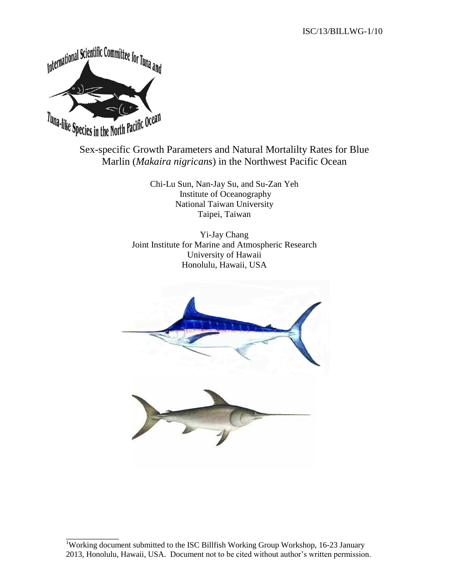

\_\_\_\_\_\_\_\_\_\_\_\_

# Sex-specific Growth Parameters and Natural Mortalilty Rates for Blue Marlin (*Makaira nigricans*) in the Northwest Pacific Ocean

Chi-Lu Sun, Nan-Jay Su, and Su-Zan Yeh Institute of Oceanography National Taiwan University Taipei, Taiwan

Yi-Jay Chang Joint Institute for Marine and Atmospheric Research University of Hawaii Honolulu, Hawaii, USA



<sup>&</sup>lt;sup>1</sup>Working document submitted to the ISC Billfish Working Group Workshop, 16-23 January 2013, Honolulu, Hawaii, USA. Document not to be cited without author's written permission.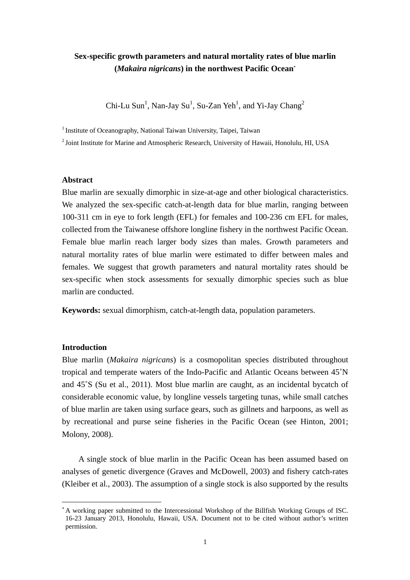# **Sex-specific growth parameters and natural mortality rates of blue marlin (***Makaira nigricans***) in the northwest Pacific Ocean**<sup>∗</sup>

Chi-Lu Sun<sup>1</sup>, Nan-Jay Su<sup>1</sup>, Su-Zan Yeh<sup>1</sup>, and Yi-Jay Chang<sup>2</sup>

<sup>1</sup> Institute of Oceanography, National Taiwan University, Taipei, Taiwan

<sup>2</sup> Joint Institute for Marine and Atmospheric Research, University of Hawaii, Honolulu, HI, USA

#### **Abstract**

Blue marlin are sexually dimorphic in size-at-age and other biological characteristics. We analyzed the sex-specific catch-at-length data for blue marlin, ranging between 100-311 cm in eye to fork length (EFL) for females and 100-236 cm EFL for males, collected from the Taiwanese offshore longline fishery in the northwest Pacific Ocean. Female blue marlin reach larger body sizes than males. Growth parameters and natural mortality rates of blue marlin were estimated to differ between males and females. We suggest that growth parameters and natural mortality rates should be sex-specific when stock assessments for sexually dimorphic species such as blue marlin are conducted.

**Keywords:** sexual dimorphism, catch-at-length data, population parameters.

## **Introduction**

 $\overline{a}$ 

Blue marlin (*Makaira nigricans*) is a cosmopolitan species distributed throughout tropical and temperate waters of the Indo-Pacific and Atlantic Oceans between 45˚N and 45˚S (Su et al., 2011). Most blue marlin are caught, as an incidental bycatch of considerable economic value, by longline vessels targeting tunas, while small catches of blue marlin are taken using surface gears, such as gillnets and harpoons, as well as by recreational and purse seine fisheries in the Pacific Ocean (see Hinton, 2001; Molony, 2008).

A single stock of blue marlin in the Pacific Ocean has been assumed based on analyses of genetic divergence (Graves and McDowell, 2003) and fishery catch-rates (Kleiber et al., 2003). The assumption of a single stock is also supported by the results

<sup>∗</sup> A working paper submitted to the Intercessional Workshop of the Billfish Working Groups of ISC. 16-23 January 2013, Honolulu, Hawaii, USA. Document not to be cited without author's written permission.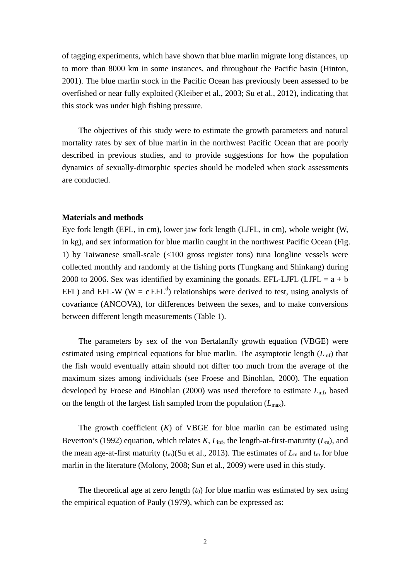of tagging experiments, which have shown that blue marlin migrate long distances, up to more than 8000 km in some instances, and throughout the Pacific basin (Hinton, 2001). The blue marlin stock in the Pacific Ocean has previously been assessed to be overfished or near fully exploited (Kleiber et al., 2003; Su et al., 2012), indicating that this stock was under high fishing pressure.

The objectives of this study were to estimate the growth parameters and natural mortality rates by sex of blue marlin in the northwest Pacific Ocean that are poorly described in previous studies, and to provide suggestions for how the population dynamics of sexually-dimorphic species should be modeled when stock assessments are conducted.

## **Materials and methods**

Eye fork length (EFL, in cm), lower jaw fork length (LJFL, in cm), whole weight (W, in kg), and sex information for blue marlin caught in the northwest Pacific Ocean (Fig. 1) by Taiwanese small-scale (<100 gross register tons) tuna longline vessels were collected monthly and randomly at the fishing ports (Tungkang and Shinkang) during 2000 to 2006. Sex was identified by examining the gonads. EFL-LJFL (LJFL =  $a + b$ ) EFL) and EFL-W (W = c EFL<sup>d</sup>) relationships were derived to test, using analysis of covariance (ANCOVA), for differences between the sexes, and to make conversions between different length measurements (Table 1).

The parameters by sex of the von Bertalanffy growth equation (VBGE) were estimated using empirical equations for blue marlin. The asymptotic length ( $L_{\text{inf}}$ ) that the fish would eventually attain should not differ too much from the average of the maximum sizes among individuals (see Froese and Binohlan, 2000). The equation developed by Froese and Binohlan (2000) was used therefore to estimate *L*inf, based on the length of the largest fish sampled from the population  $(L_{\text{max}})$ .

The growth coefficient  $(K)$  of VBGE for blue marlin can be estimated using Beverton's (1992) equation, which relates *K*,  $L_{\text{inf}}$ , the length-at-first-maturity ( $L_{\text{m}}$ ), and the mean age-at-first maturity  $(t_m)$ (Su et al., 2013). The estimates of  $L_m$  and  $t_m$  for blue marlin in the literature (Molony, 2008; Sun et al., 2009) were used in this study.

The theoretical age at zero length  $(t_0)$  for blue marlin was estimated by sex using the empirical equation of Pauly (1979), which can be expressed as: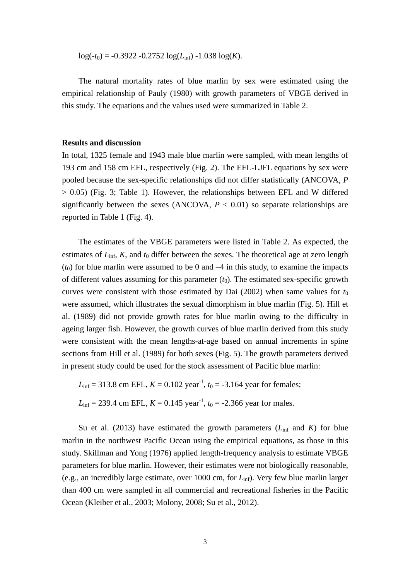$log(-t_0) = -0.3922 - 0.2752 log(L_{inf}) - 1.038 log(K).$ 

The natural mortality rates of blue marlin by sex were estimated using the empirical relationship of Pauly (1980) with growth parameters of VBGE derived in this study. The equations and the values used were summarized in Table 2.

## **Results and discussion**

In total, 1325 female and 1943 male blue marlin were sampled, with mean lengths of 193 cm and 158 cm EFL, respectively (Fig. 2). The EFL-LJFL equations by sex were pooled because the sex-specific relationships did not differ statistically (ANCOVA, *P*  $> 0.05$ ) (Fig. 3; Table 1). However, the relationships between EFL and W differed significantly between the sexes (ANCOVA,  $P < 0.01$ ) so separate relationships are reported in Table 1 (Fig. 4).

The estimates of the VBGE parameters were listed in Table 2. As expected, the estimates of  $L_{\text{inf}}$ ,  $K$ , and  $t_0$  differ between the sexes. The theoretical age at zero length  $(t_0)$  for blue marlin were assumed to be 0 and  $-4$  in this study, to examine the impacts of different values assuming for this parameter  $(t_0)$ . The estimated sex-specific growth curves were consistent with those estimated by Dai  $(2002)$  when same values for  $t_0$ were assumed, which illustrates the sexual dimorphism in blue marlin (Fig. 5). Hill et al. (1989) did not provide growth rates for blue marlin owing to the difficulty in ageing larger fish. However, the growth curves of blue marlin derived from this study were consistent with the mean lengths-at-age based on annual increments in spine sections from Hill et al. (1989) for both sexes (Fig. 5). The growth parameters derived in present study could be used for the stock assessment of Pacific blue marlin:

 $L_{\text{inf}} = 313.8 \text{ cm}$  EFL,  $K = 0.102 \text{ year}^{-1}$ ,  $t_0 = -3.164 \text{ year}$  for females;  $L_{\text{inf}} = 239.4 \text{ cm} \text{ EFL}, K = 0.145 \text{ year}^{-1}, t_0 = -2.366 \text{ year} \text{ for males}.$ 

Su et al. (2013) have estimated the growth parameters  $(L_{\text{inf}}$  and  $K$ ) for blue marlin in the northwest Pacific Ocean using the empirical equations, as those in this study. Skillman and Yong (1976) applied length-frequency analysis to estimate VBGE parameters for blue marlin. However, their estimates were not biologically reasonable, (e.g., an incredibly large estimate, over 1000 cm, for *L*inf). Very few blue marlin larger than 400 cm were sampled in all commercial and recreational fisheries in the Pacific Ocean (Kleiber et al., 2003; Molony, 2008; Su et al., 2012).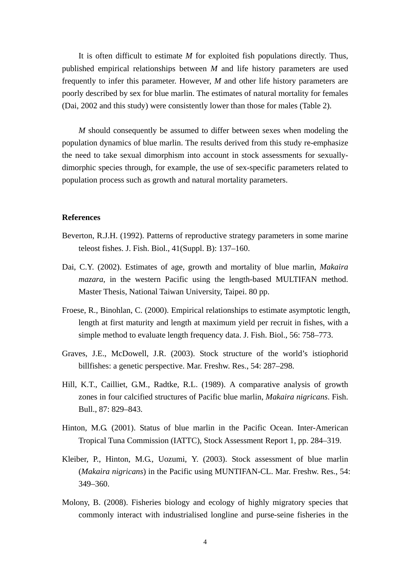It is often difficult to estimate *M* for exploited fish populations directly. Thus, published empirical relationships between *M* and life history parameters are used frequently to infer this parameter. However, *M* and other life history parameters are poorly described by sex for blue marlin. The estimates of natural mortality for females (Dai, 2002 and this study) were consistently lower than those for males (Table 2).

*M* should consequently be assumed to differ between sexes when modeling the population dynamics of blue marlin. The results derived from this study re-emphasize the need to take sexual dimorphism into account in stock assessments for sexuallydimorphic species through, for example, the use of sex-specific parameters related to population process such as growth and natural mortality parameters.

#### **References**

- Beverton, R.J.H. (1992). Patterns of reproductive strategy parameters in some marine teleost fishes. J. Fish. Biol., 41(Suppl. B): 137–160.
- Dai, C.Y. (2002). Estimates of age, growth and mortality of blue marlin, *Makaira mazara*, in the western Pacific using the length-based MULTIFAN method. Master Thesis, National Taiwan University, Taipei. 80 pp.
- Froese, R., Binohlan, C. (2000). Empirical relationships to estimate asymptotic length, length at first maturity and length at maximum yield per recruit in fishes, with a simple method to evaluate length frequency data. J. Fish. Biol., 56: 758–773.
- Graves, J.E., McDowell, J.R. (2003). Stock structure of the world's istiophorid billfishes: a genetic perspective. Mar. Freshw. Res., 54: 287–298.
- Hill, K.T., Cailliet, G.M., Radtke, R.L. (1989). A comparative analysis of growth zones in four calcified structures of Pacific blue marlin, *Makaira nigricans*. Fish. Bull., 87: 829–843.
- Hinton, M.G. (2001). Status of blue marlin in the Pacific Ocean. Inter-American Tropical Tuna Commission (IATTC), Stock Assessment Report 1, pp. 284–319.
- Kleiber, P., Hinton, M.G., Uozumi, Y. (2003). Stock assessment of blue marlin (*Makaira nigricans*) in the Pacific using MUNTIFAN-CL. Mar. Freshw. Res., 54: 349–360.
- Molony, B. (2008). Fisheries biology and ecology of highly migratory species that commonly interact with industrialised longline and purse-seine fisheries in the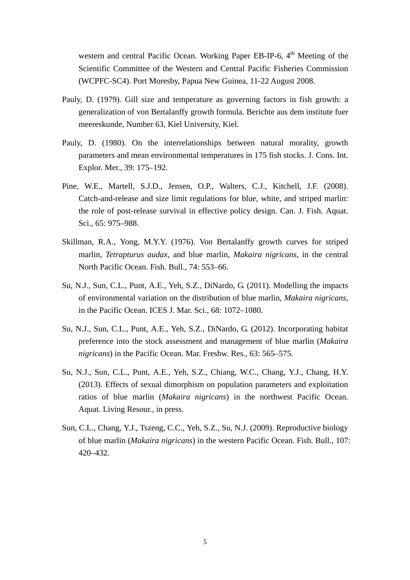western and central Pacific Ocean. Working Paper EB-IP-6, 4<sup>th</sup> Meeting of the Scientific Committee of the Western and Central Pacific Fisheries Commission (WCPFC-SC4). Port Moresby, Papua New Guinea, 11-22 August 2008.

- Pauly, D. (1979). Gill size and temperature as governing factors in fish growth: a generalization of von Bertalanffy growth formula. Berichte aus dem institute fuer meereskunde, Number 63, Kiel University, Kiel.
- Pauly, D. (1980). On the interrelationships between natural morality, growth parameters and mean environmental temperatures in 175 fish stocks. J. Cons. Int. Explor. Mer., 39: 175–192.
- Pine, W.E., Martell, S.J.D., Jensen, O.P., Walters, C.J., Kitchell, J.F. (2008). Catch-and-release and size limit regulations for blue, white, and striped marlin: the role of post-release survival in effective policy design. Can. J. Fish. Aquat. Sci., 65: 975–988.
- Skillman, R.A., Yong, M.Y.Y. (1976). Von Bertalanffy growth curves for striped marlin, *Tetrapturus audax*, and blue marlin, *Makaira nigricans*, in the central North Pacific Ocean. Fish. Bull., 74: 553–66.
- Su, N.J., Sun, C.L., Punt, A.E., Yeh, S.Z., DiNardo, G. (2011). Modelling the impacts of environmental variation on the distribution of blue marlin, *Makaira nigricans*, in the Pacific Ocean. ICES J. Mar. Sci., 68: 1072–1080.
- Su, N.J., Sun, C.L., Punt, A.E., Yeh, S.Z., DiNardo, G. (2012). Incorporating habitat preference into the stock assessment and management of blue marlin (*Makaira nigricans*) in the Pacific Ocean. Mar. Freshw. Res., 63: 565–575.
- Su, N.J., Sun, C.L., Punt, A.E., Yeh, S.Z., Chiang, W.C., Chang, Y.J., Chang, H.Y. (2013). Effects of sexual dimorphism on population parameters and exploitation ratios of blue marlin (*Makaira nigricans*) in the northwest Pacific Ocean. Aquat. Living Resour., in press.
- Sun, C.L., Chang, Y.J., Tszeng, C.C., Yeh, S.Z., Su, N.J. (2009). Reproductive biology of blue marlin (*Makaira nigricans*) in the western Pacific Ocean. Fish. Bull., 107: 420–432.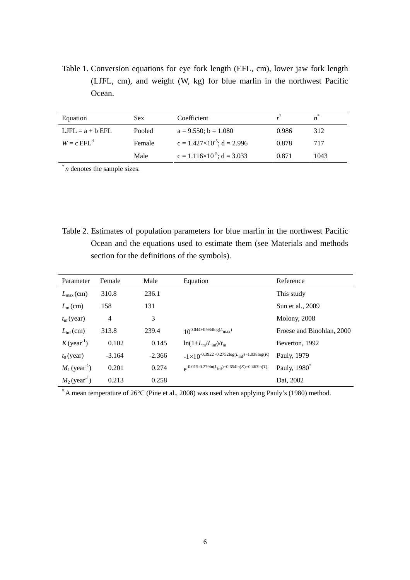Table 1. Conversion equations for eye fork length (EFL, cm), lower jaw fork length (LJFL, cm), and weight (W, kg) for blue marlin in the northwest Pacific Ocean.

| Equation           | Sex.   | Coefficient                            |       | $\boldsymbol{n}$ |
|--------------------|--------|----------------------------------------|-------|------------------|
| $LJFL = a + b EFL$ | Pooled | $a = 9.550$ ; $b = 1.080$              | 0.986 | 312              |
| $W = c EFLd$       | Female | $c = 1.427 \times 10^{-5}$ ; d = 2.996 | 0.878 | 717              |
|                    | Male   | $c = 1.116 \times 10^{-5}$ ; d = 3.033 | 0.871 | 1043             |

\* *n* denotes the sample sizes.

Table 2. Estimates of population parameters for blue marlin in the northwest Pacific Ocean and the equations used to estimate them (see Materials and methods section for the definitions of the symbols).

| Parameter                   | Female         | Male     | Equation                                                          | Reference                 |
|-----------------------------|----------------|----------|-------------------------------------------------------------------|---------------------------|
| $L_{\text{max}}(\text{cm})$ | 310.8          | 236.1    |                                                                   | This study                |
| $L_{\rm m}$ (cm)            | 158            | 131      |                                                                   | Sun et al., 2009          |
| $t_{\rm m}$ (year)          | $\overline{4}$ | 3        |                                                                   | <b>Molony</b> , 2008      |
| $L_{\text{inf}}(\text{cm})$ | 313.8          | 239.4    | $10^{0.044+0.984\log(L_{\text{max}})}$                            | Froese and Binohlan, 2000 |
| $K$ (year <sup>-1</sup> )   | 0.102          | 0.145    | $\ln(1+L_m/L_{\rm inf})/t_m$                                      | Beverton, 1992            |
| $t_0$ (year)                | $-3.164$       | $-2.366$ | $-1{\times}10^{-0.3922}$ -0.2752log( $L_{\rm inf}$ ) -1.038log(K) | Pauly, 1979               |
| $M_1$ (year <sup>-1</sup> ) | 0.201          | 0.274    | $e^{-0.015 - 0.279 \ln(L_{inf}) + 0.654 \ln(K) + 0.463 \ln(T)}$   | Pauly, 1980 <sup>*</sup>  |
| $M_2$ (year <sup>-1</sup> ) | 0.213          | 0.258    |                                                                   | Dai, 2002                 |

\* A mean temperature of 26°C (Pine et al., 2008) was used when applying Pauly's (1980) method.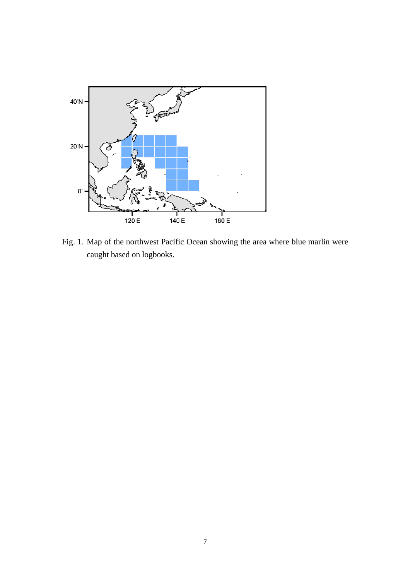

Fig. 1. Map of the northwest Pacific Ocean showing the area where blue marlin were caught based on logbooks.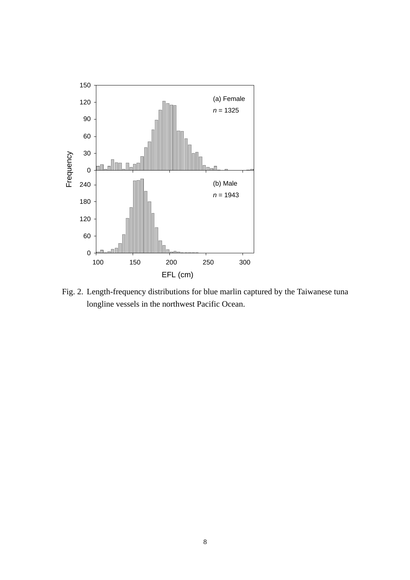

Fig. 2. Length-frequency distributions for blue marlin captured by the Taiwanese tuna longline vessels in the northwest Pacific Ocean.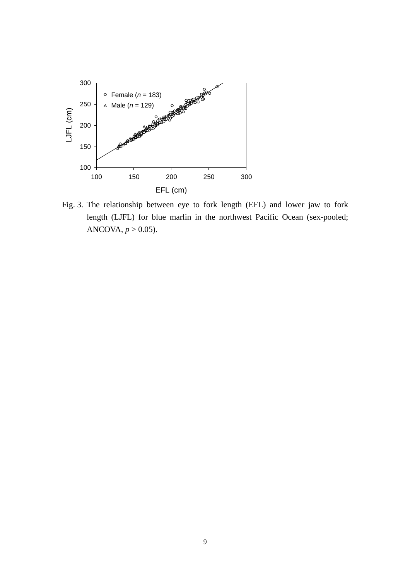

Fig. 3. The relationship between eye to fork length (EFL) and lower jaw to fork length (LJFL) for blue marlin in the northwest Pacific Ocean (sex-pooled; ANCOVA,  $p > 0.05$ ).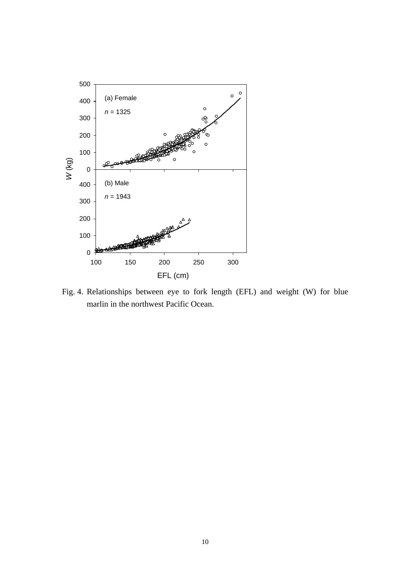

Fig. 4. Relationships between eye to fork length (EFL) and weight (W) for blue marlin in the northwest Pacific Ocean.